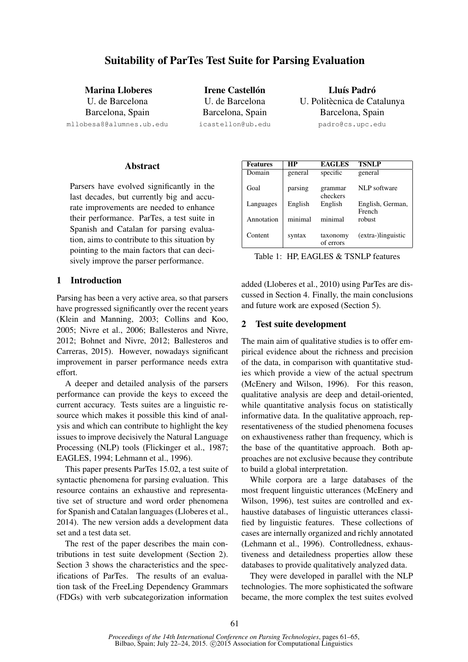Marina Lloberes U. de Barcelona Barcelona, Spain mllobesa8@alumnes.ub.edu

**Irene Castellón** U. de Barcelona Barcelona, Spain icastellon@ub.edu

Lluís Padró U. Politècnica de Catalunya Barcelona, Spain padro@cs.upc.edu

#### **Abstract**

Parsers have evolved significantly in the last decades, but currently big and accurate improvements are needed to enhance their performance. ParTes, a test suite in Spanish and Catalan for parsing evaluation, aims to contribute to this situation by pointing to the main factors that can decisively improve the parser performance.

# 1 Introduction

Parsing has been a very active area, so that parsers have progressed significantly over the recent years (Klein and Manning, 2003; Collins and Koo, 2005; Nivre et al., 2006; Ballesteros and Nivre, 2012; Bohnet and Nivre, 2012; Ballesteros and Carreras, 2015). However, nowadays significant improvement in parser performance needs extra effort.

A deeper and detailed analysis of the parsers performance can provide the keys to exceed the current accuracy. Tests suites are a linguistic resource which makes it possible this kind of analysis and which can contribute to highlight the key issues to improve decisively the Natural Language Processing (NLP) tools (Flickinger et al., 1987; EAGLES, 1994; Lehmann et al., 1996).

This paper presents ParTes 15.02, a test suite of syntactic phenomena for parsing evaluation. This resource contains an exhaustive and representative set of structure and word order phenomena for Spanish and Catalan languages (Lloberes et al., 2014). The new version adds a development data set and a test data set.

The rest of the paper describes the main contributions in test suite development (Section 2). Section 3 shows the characteristics and the specifications of ParTes. The results of an evaluation task of the FreeLing Dependency Grammars (FDGs) with verb subcategorization information

| <b>Features</b> | HР      | <b>EAGLES</b>         | <b>TSNLP</b>               |
|-----------------|---------|-----------------------|----------------------------|
| Domain          | general | specific              | general                    |
| Goal            | parsing | grammar<br>checkers   | NLP software               |
| Languages       | English | English               | English, German,<br>French |
| Annotation      | minimal | minimal               | robust                     |
| Content         | syntax  | taxonomy<br>of errors | (extra-)linguistic         |

Table 1: HP, EAGLES & TSNLP features

added (Lloberes et al., 2010) using ParTes are discussed in Section 4. Finally, the main conclusions and future work are exposed (Section 5).

# 2 Test suite development

The main aim of qualitative studies is to offer empirical evidence about the richness and precision of the data, in comparison with quantitative studies which provide a view of the actual spectrum (McEnery and Wilson, 1996). For this reason, qualitative analysis are deep and detail-oriented, while quantitative analysis focus on statistically informative data. In the qualitative approach, representativeness of the studied phenomena focuses on exhaustiveness rather than frequency, which is the base of the quantitative approach. Both approaches are not exclusive because they contribute to build a global interpretation.

While corpora are a large databases of the most frequent linguistic utterances (McEnery and Wilson, 1996), test suites are controlled and exhaustive databases of linguistic utterances classified by linguistic features. These collections of cases are internally organized and richly annotated (Lehmann et al., 1996). Controlledness, exhaustiveness and detailedness properties allow these databases to provide qualitatively analyzed data.

They were developed in parallel with the NLP technologies. The more sophisticated the software became, the more complex the test suites evolved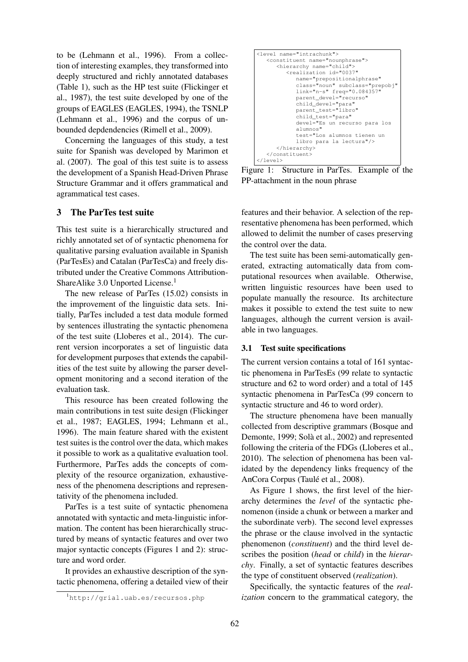to be (Lehmann et al., 1996). From a collection of interesting examples, they transformed into deeply structured and richly annotated databases (Table 1), such as the HP test suite (Flickinger et al., 1987), the test suite developed by one of the groups of EAGLES (EAGLES, 1994), the TSNLP (Lehmann et al., 1996) and the corpus of unbounded depdendencies (Rimell et al., 2009).

Concerning the languages of this study, a test suite for Spanish was developed by Marimon et al. (2007). The goal of this test suite is to assess the development of a Spanish Head-Driven Phrase Structure Grammar and it offers grammatical and agrammatical test cases.

## 3 The ParTes test suite

This test suite is a hierarchically structured and richly annotated set of of syntactic phenomena for qualitative parsing evaluation available in Spanish (ParTesEs) and Catalan (ParTesCa) and freely distributed under the Creative Commons Attribution-ShareAlike 3.0 Unported License.<sup>1</sup>

The new release of ParTes (15.02) consists in the improvement of the linguistic data sets. Initially, ParTes included a test data module formed by sentences illustrating the syntactic phenomena of the test suite (Lloberes et al., 2014). The current version incorporates a set of linguistic data for development purposes that extends the capabilities of the test suite by allowing the parser development monitoring and a second iteration of the evaluation task.

This resource has been created following the main contributions in test suite design (Flickinger et al., 1987; EAGLES, 1994; Lehmann et al., 1996). The main feature shared with the existent test suites is the control over the data, which makes it possible to work as a qualitative evaluation tool. Furthermore, ParTes adds the concepts of complexity of the resource organization, exhaustiveness of the phenomena descriptions and representativity of the phenomena included.

ParTes is a test suite of syntactic phenomena annotated with syntactic and meta-linguistic information. The content has been hierarchically structured by means of syntactic features and over two major syntactic concepts (Figures 1 and 2): structure and word order.

It provides an exhaustive description of the syntactic phenomena, offering a detailed view of their

```
<level name="intrachunk">
   <constituent name="nounphrase">
      <hierarchy name="child">
          <realization id="0037"
             name="prepositionalphrase"
             class="noun" subclass="prepobj"
link="n-s" freq="0.084357"
             parent_devel="recurso"
             child_devel="para"
             parent_test="libro"
             child_test="para"
             devel="Es un recurso para los
             alumnos"
             test="Los alumnos tienen un
             libro para la lectura"/>
      </hierarchy>
   </constituent>
</level>
```
Figure 1: Structure in ParTes. Example of the PP-attachment in the noun phrase

features and their behavior. A selection of the representative phenomena has been performed, which allowed to delimit the number of cases preserving the control over the data.

The test suite has been semi-automatically generated, extracting automatically data from computational resources when available. Otherwise, written linguistic resources have been used to populate manually the resource. Its architecture makes it possible to extend the test suite to new languages, although the current version is available in two languages.

#### 3.1 Test suite specifications

The current version contains a total of 161 syntactic phenomena in ParTesEs (99 relate to syntactic structure and 62 to word order) and a total of 145 syntactic phenomena in ParTesCa (99 concern to syntactic structure and 46 to word order).

The structure phenomena have been manually collected from descriptive grammars (Bosque and Demonte, 1999; Solà et al., 2002) and represented following the criteria of the FDGs (Lloberes et al., 2010). The selection of phenomena has been validated by the dependency links frequency of the AnCora Corpus (Taulé et al., 2008).

As Figure 1 shows, the first level of the hierarchy determines the *level* of the syntactic phenomenon (inside a chunk or between a marker and the subordinate verb). The second level expresses the phrase or the clause involved in the syntactic phenomenon (*constituent*) and the third level describes the position (*head* or *child*) in the *hierarchy*. Finally, a set of syntactic features describes the type of constituent observed (*realization*).

Specifically, the syntactic features of the *realization* concern to the grammatical category, the

<sup>1</sup>http://grial.uab.es/recursos.php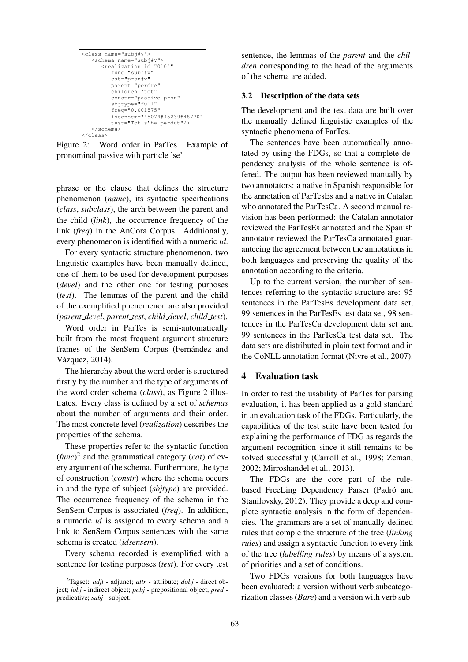| <class name="subi#V"></class>                    |  |  |  |  |
|--------------------------------------------------|--|--|--|--|
| <schema name="subi#V"></schema>                  |  |  |  |  |
| <realization <="" id="0104" td=""></realization> |  |  |  |  |
| $func="subifiv"$                                 |  |  |  |  |
| $cat="proof"$                                    |  |  |  |  |
| parent="perdre"                                  |  |  |  |  |
| children="tot"                                   |  |  |  |  |
| constr="passive-pron"                            |  |  |  |  |
| $sb$ itype="full"                                |  |  |  |  |
| $freq="0.001875"$                                |  |  |  |  |
| idsensem="45074#45239#48770"                     |  |  |  |  |
| test="Tot s'ha perdut"/>                         |  |  |  |  |
| $\langle$ /schema>                               |  |  |  |  |
|                                                  |  |  |  |  |

Figure 2: Word order in ParTes. Example of pronominal passive with particle 'se'

phrase or the clause that defines the structure phenomenon (*name*), its syntactic specifications (*class*, *subclass*), the arch between the parent and the child (*link*), the occurrence frequency of the link (*freq*) in the AnCora Corpus. Additionally, every phenomenon is identified with a numeric *id*.

For every syntactic structure phenomenon, two linguistic examples have been manually defined, one of them to be used for development purposes (*devel*) and the other one for testing purposes (*test*). The lemmas of the parent and the child of the exemplified phenomenon are also provided (*parent devel*, *parent test*, *child devel*, *child test*).

Word order in ParTes is semi-automatically built from the most frequent argument structure frames of the SenSem Corpus (Fernández and Vazquez, 2014). `

The hierarchy about the word order is structured firstly by the number and the type of arguments of the word order schema (*class*), as Figure 2 illustrates. Every class is defined by a set of *schemas* about the number of arguments and their order. The most concrete level (*realization*) describes the properties of the schema.

These properties refer to the syntactic function (*func*) 2 and the grammatical category (*cat*) of every argument of the schema. Furthermore, the type of construction (*constr*) where the schema occurs in and the type of subject (*sbjtype*) are provided. The occurrence frequency of the schema in the SenSem Corpus is associated (*freq*). In addition, a numeric *id* is assigned to every schema and a link to SenSem Corpus sentences with the same schema is created (*idsensem*).

Every schema recorded is exemplified with a sentence for testing purposes (*test*). For every test sentence, the lemmas of the *parent* and the *children* corresponding to the head of the arguments of the schema are added.

#### 3.2 Description of the data sets

The development and the test data are built over the manually defined linguistic examples of the syntactic phenomena of ParTes.

The sentences have been automatically annotated by using the FDGs, so that a complete dependency analysis of the whole sentence is offered. The output has been reviewed manually by two annotators: a native in Spanish responsible for the annotation of ParTesEs and a native in Catalan who annotated the ParTesCa. A second manual revision has been performed: the Catalan annotator reviewed the ParTesEs annotated and the Spanish annotator reviewed the ParTesCa annotated guaranteeing the agreement between the annotations in both languages and preserving the quality of the annotation according to the criteria.

Up to the current version, the number of sentences referring to the syntactic structure are: 95 sentences in the ParTesEs development data set, 99 sentences in the ParTesEs test data set, 98 sentences in the ParTesCa development data set and 99 sentences in the ParTesCa test data set. The data sets are distributed in plain text format and in the CoNLL annotation format (Nivre et al., 2007).

## 4 Evaluation task

In order to test the usability of ParTes for parsing evaluation, it has been applied as a gold standard in an evaluation task of the FDGs. Particularly, the capabilities of the test suite have been tested for explaining the performance of FDG as regards the argument recognition since it still remains to be solved successfully (Carroll et al., 1998; Zeman, 2002; Mirroshandel et al., 2013).

The FDGs are the core part of the rulebased FreeLing Dependency Parser (Padró and Stanilovsky, 2012). They provide a deep and complete syntactic analysis in the form of dependencies. The grammars are a set of manually-defined rules that comple the structure of the tree (*linking rules*) and assign a syntactic function to every link of the tree (*labelling rules*) by means of a system of priorities and a set of conditions.

Two FDGs versions for both languages have been evaluated: a version without verb subcategorization classes (*Bare*) and a version with verb sub-

<sup>2</sup>Tagset: *adjt* - adjunct; *attr* - attribute; *dobj* - direct object; *iobj* - indirect object; *pobj* - prepositional object; *pred* predicative; *subj* - subject.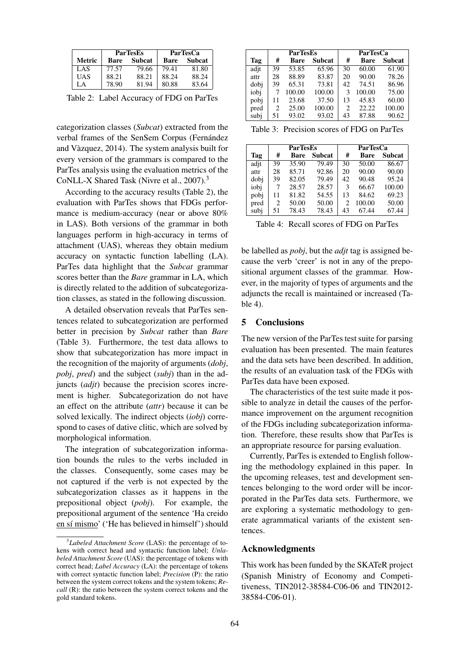|        | <b>ParTesEs</b> |        | <b>ParTesCa</b> |        |  |
|--------|-----------------|--------|-----------------|--------|--|
| Metric | Bare            | Subcat | Bare            | Subcat |  |
| LAS    | 77.57           | 79.66  | 79.41           | 81.80  |  |
| UAS    | 88.21           | 88.21  | 88.24           | 88.24  |  |
| L A    | 78.90           | 81.94  | 80.88           | 83.64  |  |

Table 2: Label Accuracy of FDG on ParTes

categorization classes (*Subcat*) extracted from the verbal frames of the SenSem Corpus (Fernández and Vazquez, 2014). The system analysis built for ` every version of the grammars is compared to the ParTes analysis using the evaluation metrics of the CoNLL-X Shared Task (Nivre et al., 2007).<sup>3</sup>

According to the accuracy results (Table 2), the evaluation with ParTes shows that FDGs performance is medium-accuracy (near or above 80% in LAS). Both versions of the grammar in both languages perform in high-accuracy in terms of attachment (UAS), whereas they obtain medium accuracy on syntactic function labelling (LA). ParTes data highlight that the *Subcat* grammar scores better than the *Bare* grammar in LA, which is directly related to the addition of subcategorization classes, as stated in the following discussion.

A detailed observation reveals that ParTes sentences related to subcategorization are performed better in precision by *Subcat* rather than *Bare* (Table 3). Furthermore, the test data allows to show that subcategorization has more impact in the recognition of the majority of arguments (*dobj*, *pobj*, *pred*) and the subject (*subj*) than in the adjuncts (*adjt*) because the precision scores increment is higher. Subcategorization do not have an effect on the attribute (*attr*) because it can be solved lexically. The indirect objects (*iobj*) correspond to cases of dative clitic, which are solved by morphological information.

The integration of subcategorization information bounds the rules to the verbs included in the classes. Consequently, some cases may be not captured if the verb is not expected by the subcategorization classes as it happens in the prepositional object (*pobj*). For example, the prepositional argument of the sentence 'Ha creido en sí mismo' ('He has believed in himself') should

|      | <b>ParTesEs</b> |             | <b>ParTesCa</b>    |    |             |               |
|------|-----------------|-------------|--------------------|----|-------------|---------------|
| Tag  | #               | <b>Bare</b> | <b>Subcat</b>      | #  | <b>Bare</b> | <b>Subcat</b> |
| adit | 39              | 53.85       | $65.\overline{96}$ | 30 | 60.00       | 61.90         |
| attr | 28              | 88.89       | 83.87              | 20 | 90.00       | 78.26         |
| dobi | 39              | 65.31       | 73.81              | 42 | 74.51       | 86.96         |
| iobi |                 | 100.00      | 100.00             | 3  | 100.00      | 75.00         |
| pobj | 11              | 23.68       | 37.50              | 13 | 45.83       | 60.00         |
| pred | 2               | 25.00       | 100.00             | 2  | 22.22       | 100.00        |
| subi | 51              | 93.02       | 93.02              | 43 | 87.88       | 90.62         |

| Table 3: Precision scores of FDG on ParTes |  |  |
|--------------------------------------------|--|--|
|--------------------------------------------|--|--|

|      | <b>ParTesEs</b>             |             |               | <b>ParTesCa</b> |             |               |
|------|-----------------------------|-------------|---------------|-----------------|-------------|---------------|
| Tag  | #                           | <b>Bare</b> | <b>Subcat</b> | #               | <b>Bare</b> | <b>Subcat</b> |
| adit | 39                          | 35.90       | 79.49         | 30              | 50.00       | 86.67         |
| attr | 28                          | 85.71       | 92.86         | 20              | 90.00       | 90.00         |
| dobi | 39                          | 82.05       | 79.49         | 42              | 90.48       | 95.24         |
| iobj | 7                           | 28.57       | 28.57         | 3               | 66.67       | 100.00        |
| pobj | 11                          | 81.82       | 54.55         | 13              | 84.62       | 69.23         |
| pred | $\mathcal{D}_{\mathcal{L}}$ | 50.00       | 50.00         | 2               | 100.00      | 50.00         |
| subi | 51                          | 78.43       | 78.43         | 43              | 67.44       | 67.44         |

Table 4: Recall scores of FDG on ParTes

be labelled as *pobj*, but the *adjt* tag is assigned because the verb 'creer' is not in any of the prepositional argument classes of the grammar. However, in the majority of types of arguments and the adjuncts the recall is maintained or increased (Table 4).

## 5 Conclusions

The new version of the ParTes test suite for parsing evaluation has been presented. The main features and the data sets have been described. In addition, the results of an evaluation task of the FDGs with ParTes data have been exposed.

The characteristics of the test suite made it possible to analyze in detail the causes of the performance improvement on the argument recognition of the FDGs including subcategorization information. Therefore, these results show that ParTes is an appropriate resource for parsing evaluation.

Currently, ParTes is extended to English following the methodology explained in this paper. In the upcoming releases, test and development sentences belonging to the word order will be incorporated in the ParTes data sets. Furthermore, we are exploring a systematic methodology to generate agrammatical variants of the existent sentences.

#### Acknowledgments

This work has been funded by the SKATeR project (Spanish Ministry of Economy and Competitiveness, TIN2012-38584-C06-06 and TIN2012- 38584-C06-01).

<sup>3</sup> *Labeled Attachment Score* (LAS): the percentage of tokens with correct head and syntactic function label; *Unlabeled Attachment Score* (UAS): the percentage of tokens with correct head; *Label Accuracy* (LA): the percentage of tokens with correct syntactic function label; *Precision* (P): the ratio between the system correct tokens and the system tokens; *Recall* (R): the ratio between the system correct tokens and the gold standard tokens.